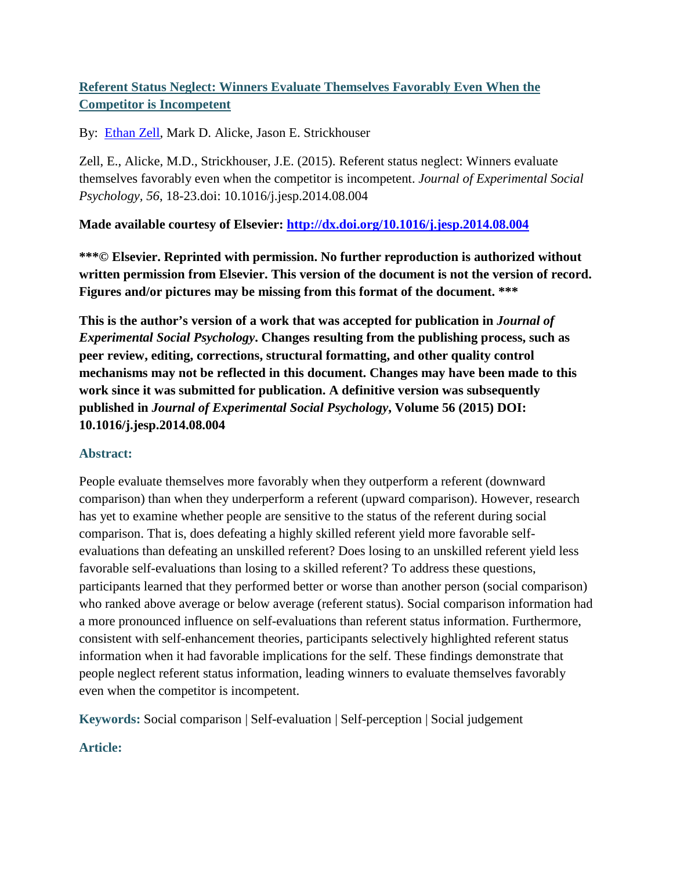# **Referent Status Neglect: Winners Evaluate Themselves Favorably Even When the Competitor is Incompetent**

By: [Ethan Zell,](http://libres.uncg.edu/ir/uncg/clist.aspx?id=4459) Mark D. Alicke, Jason E. Strickhouser

Zell, E., Alicke, M.D., Strickhouser, J.E. (2015). Referent status neglect: Winners evaluate themselves favorably even when the competitor is incompetent. *Journal of Experimental Social Psychology, 56*, 18-23.doi: 10.1016/j.jesp.2014.08.004

**Made available courtesy of Elsevier:<http://dx.doi.org/10.1016/j.jesp.2014.08.004>**

**\*\*\*© Elsevier. Reprinted with permission. No further reproduction is authorized without written permission from Elsevier. This version of the document is not the version of record. Figures and/or pictures may be missing from this format of the document. \*\*\***

**This is the author's version of a work that was accepted for publication in** *Journal of Experimental Social Psychology***. Changes resulting from the publishing process, such as peer review, editing, corrections, structural formatting, and other quality control mechanisms may not be reflected in this document. Changes may have been made to this work since it was submitted for publication. A definitive version was subsequently published in** *Journal of Experimental Social Psychology***, Volume 56 (2015) DOI: 10.1016/j.jesp.2014.08.004**

### **Abstract:**

People evaluate themselves more favorably when they outperform a referent (downward comparison) than when they underperform a referent (upward comparison). However, research has yet to examine whether people are sensitive to the status of the referent during social comparison. That is, does defeating a highly skilled referent yield more favorable selfevaluations than defeating an unskilled referent? Does losing to an unskilled referent yield less favorable self-evaluations than losing to a skilled referent? To address these questions, participants learned that they performed better or worse than another person (social comparison) who ranked above average or below average (referent status). Social comparison information had a more pronounced influence on self-evaluations than referent status information. Furthermore, consistent with self-enhancement theories, participants selectively highlighted referent status information when it had favorable implications for the self. These findings demonstrate that people neglect referent status information, leading winners to evaluate themselves favorably even when the competitor is incompetent.

**Keywords:** Social comparison | Self-evaluation | Self-perception | Social judgement

## **Article:**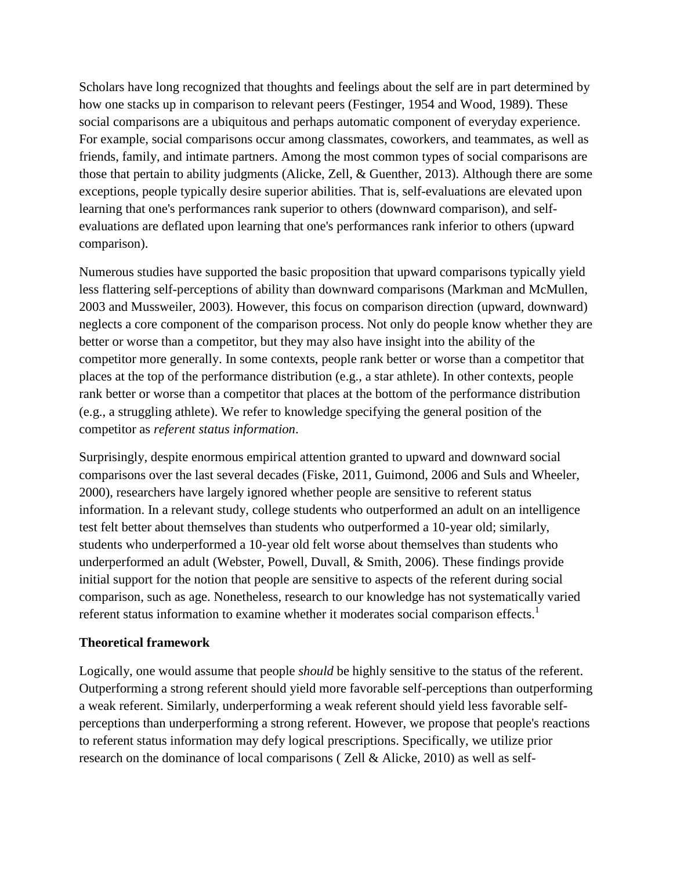Scholars have long recognized that thoughts and feelings about the self are in part determined by how one stacks up in comparison to relevant peers (Festinger, 1954 and Wood, 1989). These social comparisons are a ubiquitous and perhaps automatic component of everyday experience. For example, social comparisons occur among classmates, coworkers, and teammates, as well as friends, family, and intimate partners. Among the most common types of social comparisons are those that pertain to ability judgments (Alicke, Zell, & Guenther, 2013). Although there are some exceptions, people typically desire superior abilities. That is, self-evaluations are elevated upon learning that one's performances rank superior to others (downward comparison), and selfevaluations are deflated upon learning that one's performances rank inferior to others (upward comparison).

Numerous studies have supported the basic proposition that upward comparisons typically yield less flattering self-perceptions of ability than downward comparisons (Markman and McMullen, 2003 and Mussweiler, 2003). However, this focus on comparison direction (upward, downward) neglects a core component of the comparison process. Not only do people know whether they are better or worse than a competitor, but they may also have insight into the ability of the competitor more generally. In some contexts, people rank better or worse than a competitor that places at the top of the performance distribution (e.g., a star athlete). In other contexts, people rank better or worse than a competitor that places at the bottom of the performance distribution (e.g., a struggling athlete). We refer to knowledge specifying the general position of the competitor as *referent status information*.

Surprisingly, despite enormous empirical attention granted to upward and downward social comparisons over the last several decades (Fiske, 2011, Guimond, 2006 and Suls and Wheeler, 2000), researchers have largely ignored whether people are sensitive to referent status information. In a relevant study, college students who outperformed an adult on an intelligence test felt better about themselves than students who outperformed a 10-year old; similarly, students who underperformed a 10-year old felt worse about themselves than students who underperformed an adult (Webster, Powell, Duvall, & Smith, 2006). These findings provide initial support for the notion that people are sensitive to aspects of the referent during social comparison, such as age. Nonetheless, research to our knowledge has not systematically varied referent status information to examine whether it moderates social comparison effects.<sup>1</sup>

#### **Theoretical framework**

Logically, one would assume that people *should* be highly sensitive to the status of the referent. Outperforming a strong referent should yield more favorable self-perceptions than outperforming a weak referent. Similarly, underperforming a weak referent should yield less favorable selfperceptions than underperforming a strong referent. However, we propose that people's reactions to referent status information may defy logical prescriptions. Specifically, we utilize prior research on the dominance of local comparisons ( Zell & Alicke, 2010) as well as self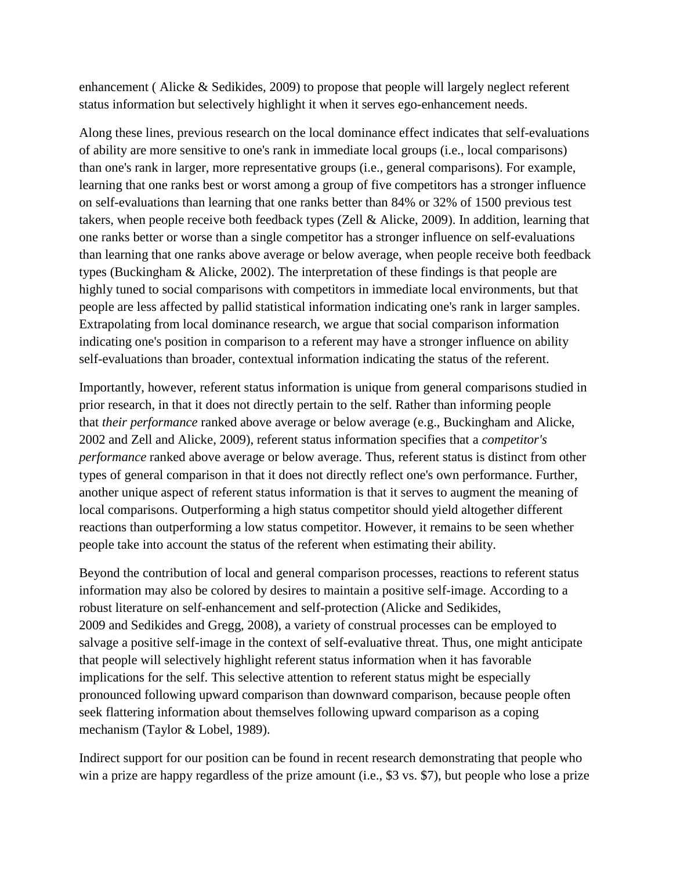enhancement ( Alicke & Sedikides, 2009) to propose that people will largely neglect referent status information but selectively highlight it when it serves ego-enhancement needs.

Along these lines, previous research on the local dominance effect indicates that self-evaluations of ability are more sensitive to one's rank in immediate local groups (i.e., local comparisons) than one's rank in larger, more representative groups (i.e., general comparisons). For example, learning that one ranks best or worst among a group of five competitors has a stronger influence on self-evaluations than learning that one ranks better than 84% or 32% of 1500 previous test takers, when people receive both feedback types (Zell & Alicke, 2009). In addition, learning that one ranks better or worse than a single competitor has a stronger influence on self-evaluations than learning that one ranks above average or below average, when people receive both feedback types (Buckingham & Alicke, 2002). The interpretation of these findings is that people are highly tuned to social comparisons with competitors in immediate local environments, but that people are less affected by pallid statistical information indicating one's rank in larger samples. Extrapolating from local dominance research, we argue that social comparison information indicating one's position in comparison to a referent may have a stronger influence on ability self-evaluations than broader, contextual information indicating the status of the referent.

Importantly, however, referent status information is unique from general comparisons studied in prior research, in that it does not directly pertain to the self. Rather than informing people that *their performance* ranked above average or below average (e.g., Buckingham and Alicke, 2002 and Zell and Alicke, 2009), referent status information specifies that a *competitor's performance* ranked above average or below average. Thus, referent status is distinct from other types of general comparison in that it does not directly reflect one's own performance. Further, another unique aspect of referent status information is that it serves to augment the meaning of local comparisons. Outperforming a high status competitor should yield altogether different reactions than outperforming a low status competitor. However, it remains to be seen whether people take into account the status of the referent when estimating their ability.

Beyond the contribution of local and general comparison processes, reactions to referent status information may also be colored by desires to maintain a positive self-image. According to a robust literature on self-enhancement and self-protection (Alicke and Sedikides, 2009 and Sedikides and Gregg, 2008), a variety of construal processes can be employed to salvage a positive self-image in the context of self-evaluative threat. Thus, one might anticipate that people will selectively highlight referent status information when it has favorable implications for the self. This selective attention to referent status might be especially pronounced following upward comparison than downward comparison, because people often seek flattering information about themselves following upward comparison as a coping mechanism (Taylor & Lobel, 1989).

Indirect support for our position can be found in recent research demonstrating that people who win a prize are happy regardless of the prize amount (i.e., \$3 vs. \$7), but people who lose a prize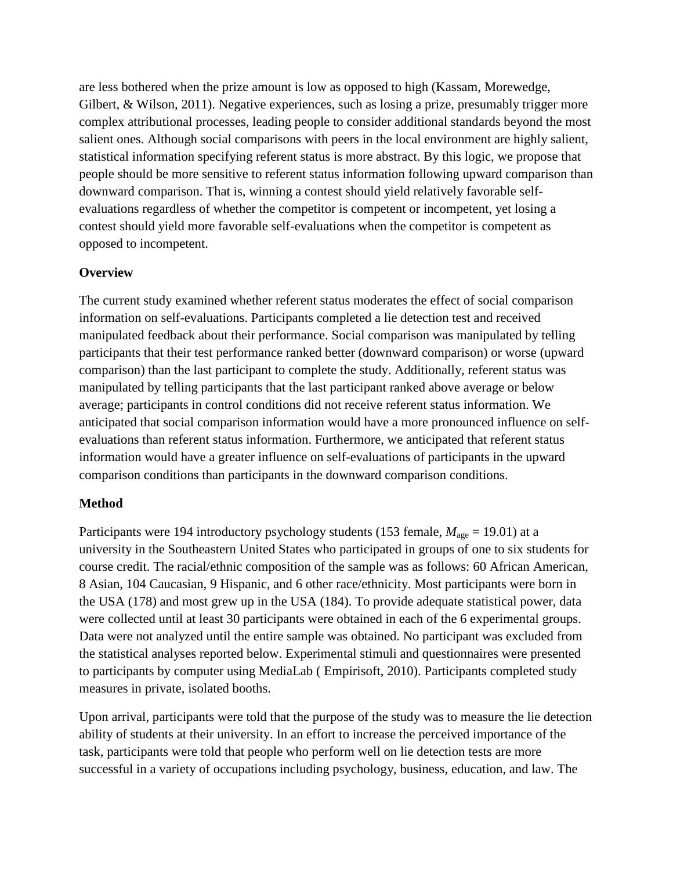are less bothered when the prize amount is low as opposed to high (Kassam, Morewedge, Gilbert, & Wilson, 2011). Negative experiences, such as losing a prize, presumably trigger more complex attributional processes, leading people to consider additional standards beyond the most salient ones. Although social comparisons with peers in the local environment are highly salient, statistical information specifying referent status is more abstract. By this logic, we propose that people should be more sensitive to referent status information following upward comparison than downward comparison. That is, winning a contest should yield relatively favorable selfevaluations regardless of whether the competitor is competent or incompetent, yet losing a contest should yield more favorable self-evaluations when the competitor is competent as opposed to incompetent.

## **Overview**

The current study examined whether referent status moderates the effect of social comparison information on self-evaluations. Participants completed a lie detection test and received manipulated feedback about their performance. Social comparison was manipulated by telling participants that their test performance ranked better (downward comparison) or worse (upward comparison) than the last participant to complete the study. Additionally, referent status was manipulated by telling participants that the last participant ranked above average or below average; participants in control conditions did not receive referent status information. We anticipated that social comparison information would have a more pronounced influence on selfevaluations than referent status information. Furthermore, we anticipated that referent status information would have a greater influence on self-evaluations of participants in the upward comparison conditions than participants in the downward comparison conditions.

### **Method**

Participants were 194 introductory psychology students (153 female,  $M_{\text{age}} = 19.01$ ) at a university in the Southeastern United States who participated in groups of one to six students for course credit. The racial/ethnic composition of the sample was as follows: 60 African American, 8 Asian, 104 Caucasian, 9 Hispanic, and 6 other race/ethnicity. Most participants were born in the USA (178) and most grew up in the USA (184). To provide adequate statistical power, data were collected until at least 30 participants were obtained in each of the 6 experimental groups. Data were not analyzed until the entire sample was obtained. No participant was excluded from the statistical analyses reported below. Experimental stimuli and questionnaires were presented to participants by computer using MediaLab ( Empirisoft, 2010). Participants completed study measures in private, isolated booths.

Upon arrival, participants were told that the purpose of the study was to measure the lie detection ability of students at their university. In an effort to increase the perceived importance of the task, participants were told that people who perform well on lie detection tests are more successful in a variety of occupations including psychology, business, education, and law. The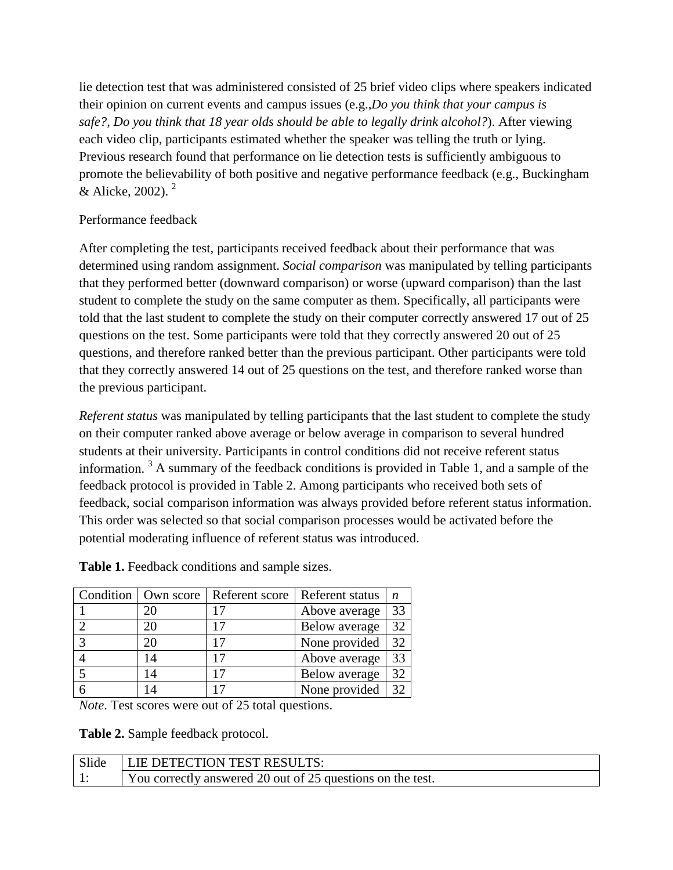lie detection test that was administered consisted of 25 brief video clips where speakers indicated their opinion on current events and campus issues (e.g.,*Do you think that your campus is safe?*, *Do you think that 18 year olds should be able to legally drink alcohol?*). After viewing each video clip, participants estimated whether the speaker was telling the truth or lying. Previous research found that performance on lie detection tests is sufficiently ambiguous to promote the believability of both positive and negative performance feedback (e.g., Buckingham & Alicke, 2002).  $^{2}$ 

### Performance feedback

After completing the test, participants received feedback about their performance that was determined using random assignment. *Social comparison* was manipulated by telling participants that they performed better (downward comparison) or worse (upward comparison) than the last student to complete the study on the same computer as them. Specifically, all participants were told that the last student to complete the study on their computer correctly answered 17 out of 25 questions on the test. Some participants were told that they correctly answered 20 out of 25 questions, and therefore ranked better than the previous participant. Other participants were told that they correctly answered 14 out of 25 questions on the test, and therefore ranked worse than the previous participant.

*Referent status* was manipulated by telling participants that the last student to complete the study on their computer ranked above average or below average in comparison to several hundred students at their university. Participants in control conditions did not receive referent status information. <sup>3</sup> A summary of the feedback conditions is provided in Table 1, and a sample of the feedback protocol is provided in Table 2. Among participants who received both sets of feedback, social comparison information was always provided before referent status information. This order was selected so that social comparison processes would be activated before the potential moderating influence of referent status was introduced.

| Condition | Own score | Referent score  | Referent status | n  |
|-----------|-----------|-----------------|-----------------|----|
|           | 20        | 17              | Above average   | 33 |
|           | 20        | $\overline{17}$ | Below average   | 32 |
|           | 20        | 17              | None provided   | 32 |
|           | 14        | 17              | Above average   | 33 |
|           | 14        | 17              | Below average   | 32 |
|           |           | 17              | None provided   | 32 |

**Table 1.** Feedback conditions and sample sizes.

*Note*. Test scores were out of 25 total questions.

**Table 2.** Sample feedback protocol.

| <b>Slide</b> | <b>LIE DETECTION TEST RESULTS:</b>                         |
|--------------|------------------------------------------------------------|
|              | You correctly answered 20 out of 25 questions on the test. |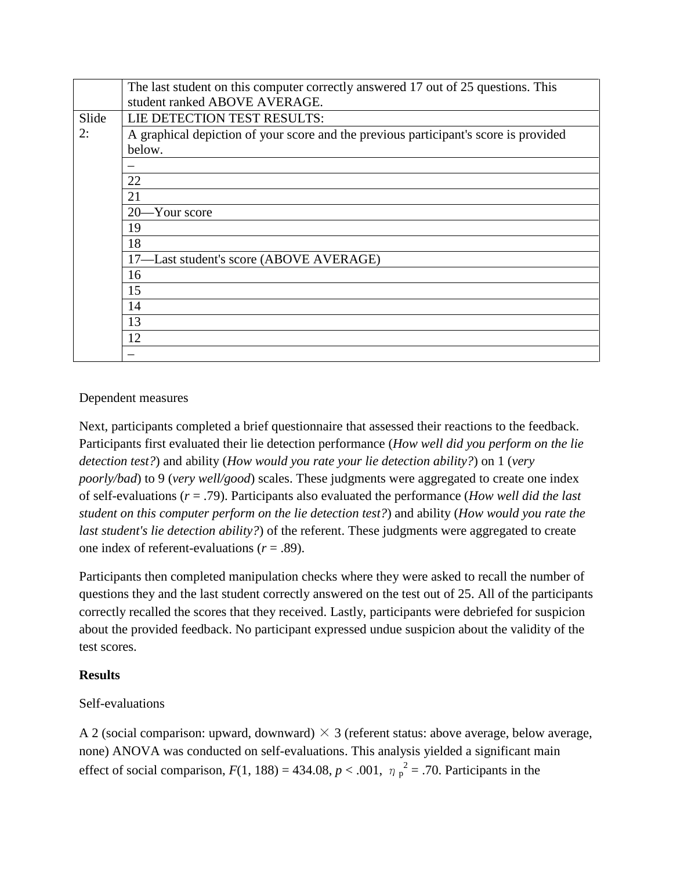|       | The last student on this computer correctly answered 17 out of 25 questions. This    |
|-------|--------------------------------------------------------------------------------------|
|       | student ranked ABOVE AVERAGE.                                                        |
| Slide | LIE DETECTION TEST RESULTS:                                                          |
| 2:    | A graphical depiction of your score and the previous participant's score is provided |
|       | below.                                                                               |
|       |                                                                                      |
|       | 22                                                                                   |
|       | 21                                                                                   |
|       | $20-$<br>-Your score                                                                 |
|       | 19                                                                                   |
|       | 18                                                                                   |
|       | -Last student's score (ABOVE AVERAGE)<br>$17-$                                       |
|       | 16                                                                                   |
|       | 15                                                                                   |
|       | 14                                                                                   |
|       | 13                                                                                   |
|       | 12                                                                                   |
|       |                                                                                      |

### Dependent measures

Next, participants completed a brief questionnaire that assessed their reactions to the feedback. Participants first evaluated their lie detection performance (*How well did you perform on the lie detection test?*) and ability (*How would you rate your lie detection ability?*) on 1 (*very poorly/bad*) to 9 (*very well/good*) scales. These judgments were aggregated to create one index of self-evaluations (*r* = .79). Participants also evaluated the performance (*How well did the last student on this computer perform on the lie detection test?*) and ability (*How would you rate the last student's lie detection ability?*) of the referent. These judgments were aggregated to create one index of referent-evaluations  $(r = .89)$ .

Participants then completed manipulation checks where they were asked to recall the number of questions they and the last student correctly answered on the test out of 25. All of the participants correctly recalled the scores that they received. Lastly, participants were debriefed for suspicion about the provided feedback. No participant expressed undue suspicion about the validity of the test scores.

### **Results**

### Self-evaluations

A 2 (social comparison: upward, downward)  $\times$  3 (referent status: above average, below average, none) ANOVA was conducted on self-evaluations. This analysis yielded a significant main effect of social comparison,  $F(1, 188) = 434.08$ ,  $p < .001$ ,  $\eta_p^2 = .70$ . Participants in the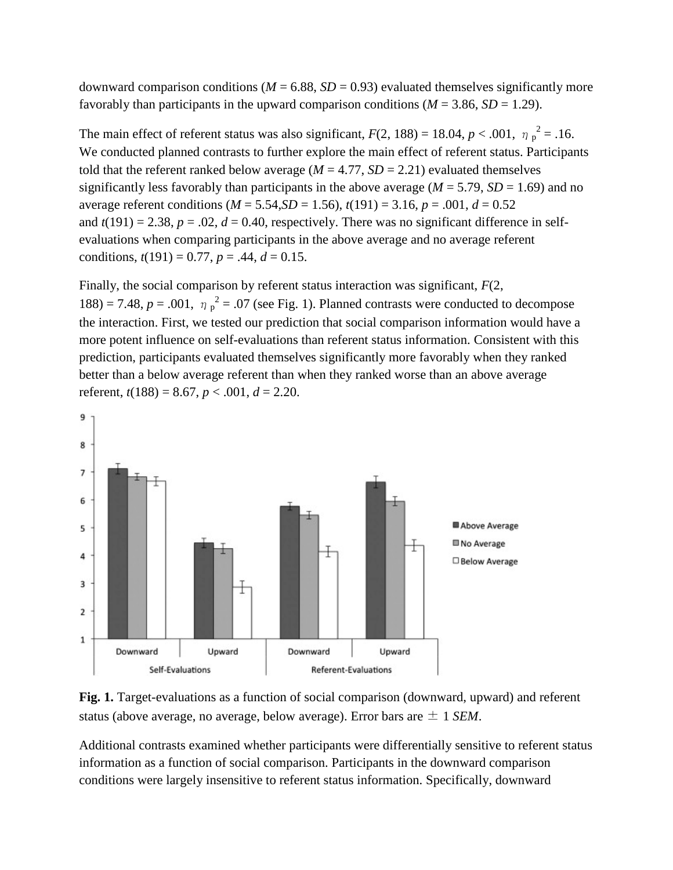downward comparison conditions ( $M = 6.88$ ,  $SD = 0.93$ ) evaluated themselves significantly more favorably than participants in the upward comparison conditions ( $M = 3.86$ ,  $SD = 1.29$ ).

The main effect of referent status was also significant,  $F(2, 188) = 18.04$ ,  $p < .001$ ,  $\eta_p^2 = .16$ . We conducted planned contrasts to further explore the main effect of referent status. Participants told that the referent ranked below average  $(M = 4.77, SD = 2.21)$  evaluated themselves significantly less favorably than participants in the above average ( $M = 5.79$ ,  $SD = 1.69$ ) and no average referent conditions ( $M = 5.54$ ,  $SD = 1.56$ ),  $t(191) = 3.16$ ,  $p = .001$ ,  $d = 0.52$ and  $t(191) = 2.38$ ,  $p = .02$ ,  $d = 0.40$ , respectively. There was no significant difference in selfevaluations when comparing participants in the above average and no average referent conditions,  $t(191) = 0.77$ ,  $p = .44$ ,  $d = 0.15$ .

Finally, the social comparison by referent status interaction was significant, *F*(2, 188) = 7.48,  $p = .001$ ,  $\eta_p^2 = .07$  (see Fig. 1). Planned contrasts were conducted to decompose the interaction. First, we tested our prediction that social comparison information would have a more potent influence on self-evaluations than referent status information. Consistent with this prediction, participants evaluated themselves significantly more favorably when they ranked better than a below average referent than when they ranked worse than an above average referent,  $t(188) = 8.67$ ,  $p < .001$ ,  $d = 2.20$ .





Additional contrasts examined whether participants were differentially sensitive to referent status information as a function of social comparison. Participants in the downward comparison conditions were largely insensitive to referent status information. Specifically, downward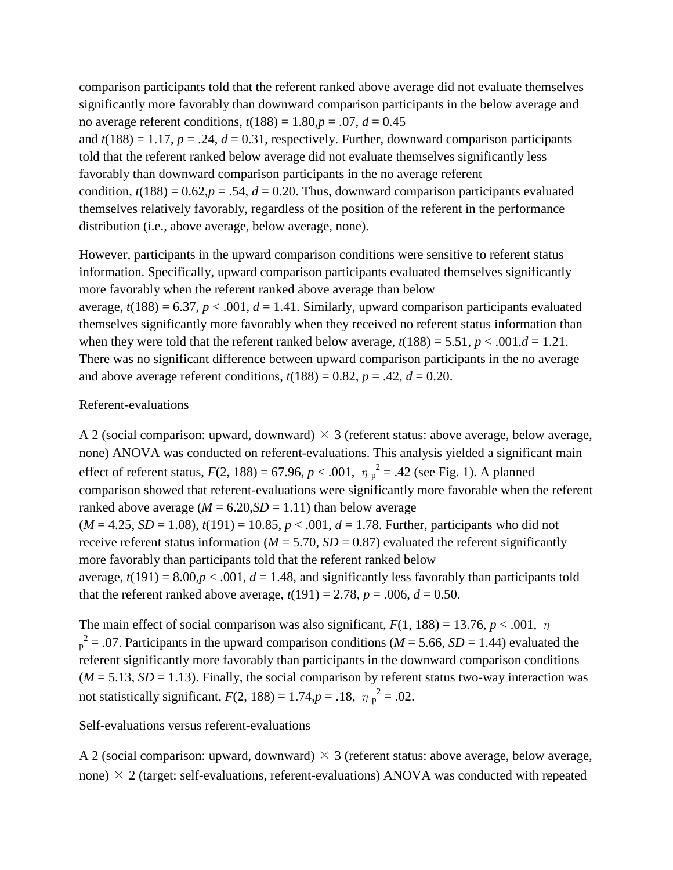comparison participants told that the referent ranked above average did not evaluate themselves significantly more favorably than downward comparison participants in the below average and no average referent conditions,  $t(188) = 1.80, p = .07, d = 0.45$ and  $t(188) = 1.17$ ,  $p = .24$ ,  $d = 0.31$ , respectively. Further, downward comparison participants told that the referent ranked below average did not evaluate themselves significantly less favorably than downward comparison participants in the no average referent condition,  $t(188) = 0.62$ ,  $p = .54$ ,  $d = 0.20$ . Thus, downward comparison participants evaluated themselves relatively favorably, regardless of the position of the referent in the performance distribution (i.e., above average, below average, none).

However, participants in the upward comparison conditions were sensitive to referent status information. Specifically, upward comparison participants evaluated themselves significantly more favorably when the referent ranked above average than below average,  $t(188) = 6.37$ ,  $p < .001$ ,  $d = 1.41$ . Similarly, upward comparison participants evaluated themselves significantly more favorably when they received no referent status information than when they were told that the referent ranked below average,  $t(188) = 5.51$ ,  $p < .001$ , $d = 1.21$ . There was no significant difference between upward comparison participants in the no average and above average referent conditions,  $t(188) = 0.82$ ,  $p = .42$ ,  $d = 0.20$ .

#### Referent-evaluations

A 2 (social comparison: upward, downward)  $\times$  3 (referent status: above average, below average, none) ANOVA was conducted on referent-evaluations. This analysis yielded a significant main effect of referent status,  $F(2, 188) = 67.96$ ,  $p < .001$ ,  $\eta_p^2 = .42$  (see Fig. 1). A planned comparison showed that referent-evaluations were significantly more favorable when the referent ranked above average ( $M = 6.20$ ,  $SD = 1.11$ ) than below average  $(M = 4.25, SD = 1.08)$ ,  $t(191) = 10.85, p < .001, d = 1.78$ . Further, participants who did not receive referent status information ( $M = 5.70$ ,  $SD = 0.87$ ) evaluated the referent significantly more favorably than participants told that the referent ranked below average,  $t(191) = 8.00, p < .001, d = 1.48$ , and significantly less favorably than participants told that the referent ranked above average,  $t(191) = 2.78$ ,  $p = .006$ ,  $d = 0.50$ .

The main effect of social comparison was also significant,  $F(1, 188) = 13.76$ ,  $p < .001$ ,  $\eta$  $p<sup>2</sup> = .07$ . Participants in the upward comparison conditions (*M* = 5.66, *SD* = 1.44) evaluated the referent significantly more favorably than participants in the downward comparison conditions  $(M = 5.13, SD = 1.13)$ . Finally, the social comparison by referent status two-way interaction was not statistically significant,  $F(2, 188) = 1.74$ ,  $p = .18$ ,  $\eta_p^2 = .02$ .

Self-evaluations versus referent-evaluations

A 2 (social comparison: upward, downward)  $\times$  3 (referent status: above average, below average, none)  $\times$  2 (target: self-evaluations, referent-evaluations) ANOVA was conducted with repeated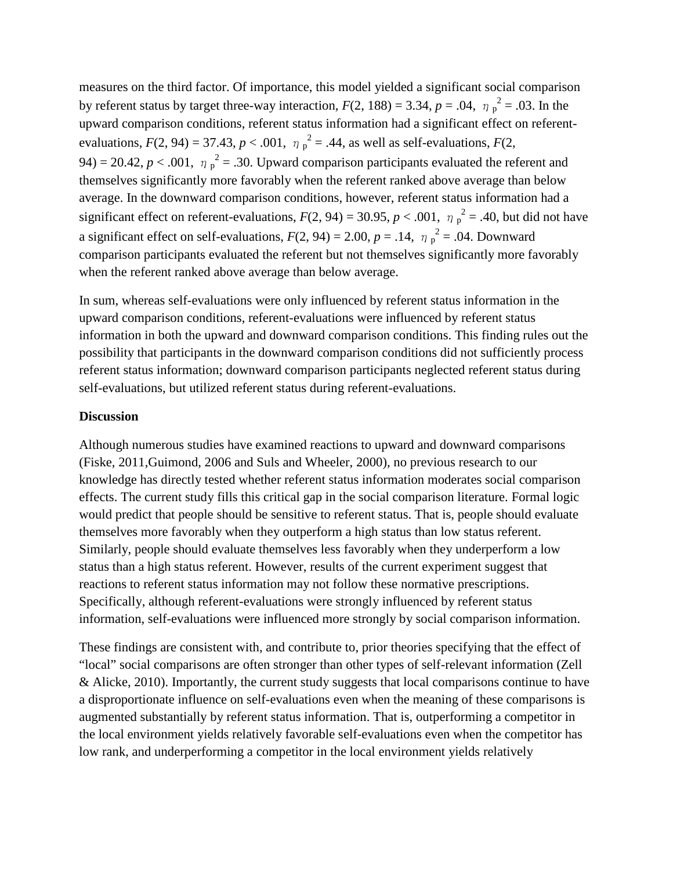measures on the third factor. Of importance, this model yielded a significant social comparison by referent status by target three-way interaction,  $F(2, 188) = 3.34$ ,  $p = .04$ ,  $\eta_p^2 = .03$ . In the upward comparison conditions, referent status information had a significant effect on referentevaluations,  $F(2, 94) = 37.43$ ,  $p < .001$ ,  $\eta_p^2 = .44$ , as well as self-evaluations,  $F(2, 94) = .44$ 94) = 20.42,  $p < .001$ ,  $\eta_p^2 = .30$ . Upward comparison participants evaluated the referent and themselves significantly more favorably when the referent ranked above average than below average. In the downward comparison conditions, however, referent status information had a significant effect on referent-evaluations,  $F(2, 94) = 30.95$ ,  $p < .001$ ,  $\eta_p^2 = .40$ , but did not have a significant effect on self-evaluations,  $F(2, 94) = 2.00$ ,  $p = .14$ ,  $\eta_p^2 = .04$ . Downward comparison participants evaluated the referent but not themselves significantly more favorably when the referent ranked above average than below average.

In sum, whereas self-evaluations were only influenced by referent status information in the upward comparison conditions, referent-evaluations were influenced by referent status information in both the upward and downward comparison conditions. This finding rules out the possibility that participants in the downward comparison conditions did not sufficiently process referent status information; downward comparison participants neglected referent status during self-evaluations, but utilized referent status during referent-evaluations.

#### **Discussion**

Although numerous studies have examined reactions to upward and downward comparisons (Fiske, 2011,Guimond, 2006 and Suls and Wheeler, 2000), no previous research to our knowledge has directly tested whether referent status information moderates social comparison effects. The current study fills this critical gap in the social comparison literature. Formal logic would predict that people should be sensitive to referent status. That is, people should evaluate themselves more favorably when they outperform a high status than low status referent. Similarly, people should evaluate themselves less favorably when they underperform a low status than a high status referent. However, results of the current experiment suggest that reactions to referent status information may not follow these normative prescriptions. Specifically, although referent-evaluations were strongly influenced by referent status information, self-evaluations were influenced more strongly by social comparison information.

These findings are consistent with, and contribute to, prior theories specifying that the effect of "local" social comparisons are often stronger than other types of self-relevant information (Zell & Alicke, 2010). Importantly, the current study suggests that local comparisons continue to have a disproportionate influence on self-evaluations even when the meaning of these comparisons is augmented substantially by referent status information. That is, outperforming a competitor in the local environment yields relatively favorable self-evaluations even when the competitor has low rank, and underperforming a competitor in the local environment yields relatively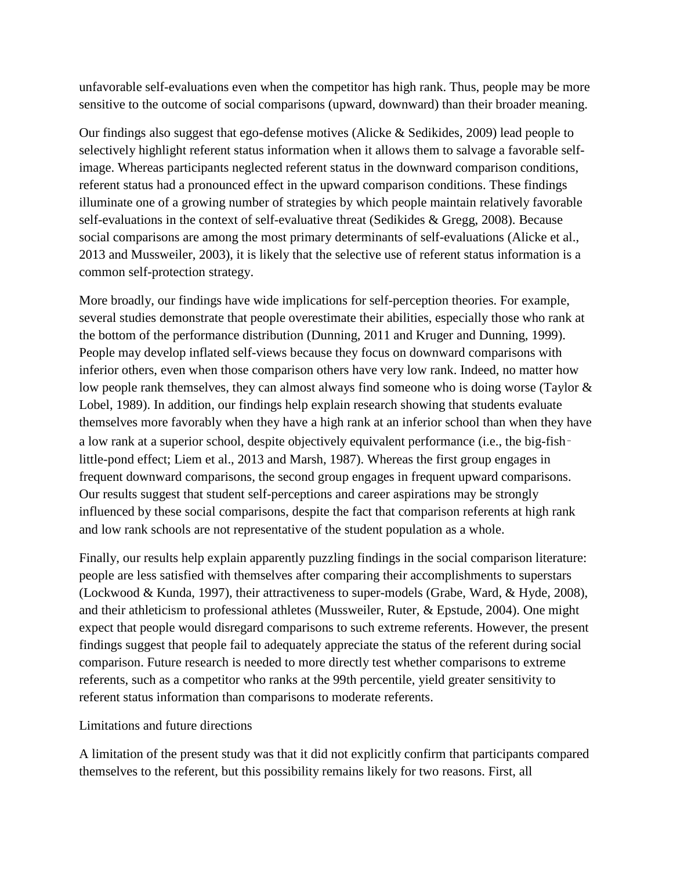unfavorable self-evaluations even when the competitor has high rank. Thus, people may be more sensitive to the outcome of social comparisons (upward, downward) than their broader meaning.

Our findings also suggest that ego-defense motives (Alicke & Sedikides, 2009) lead people to selectively highlight referent status information when it allows them to salvage a favorable selfimage. Whereas participants neglected referent status in the downward comparison conditions, referent status had a pronounced effect in the upward comparison conditions. These findings illuminate one of a growing number of strategies by which people maintain relatively favorable self-evaluations in the context of self-evaluative threat (Sedikides & Gregg, 2008). Because social comparisons are among the most primary determinants of self-evaluations (Alicke et al., 2013 and Mussweiler, 2003), it is likely that the selective use of referent status information is a common self-protection strategy.

More broadly, our findings have wide implications for self-perception theories. For example, several studies demonstrate that people overestimate their abilities, especially those who rank at the bottom of the performance distribution (Dunning, 2011 and Kruger and Dunning, 1999). People may develop inflated self-views because they focus on downward comparisons with inferior others, even when those comparison others have very low rank. Indeed, no matter how low people rank themselves, they can almost always find someone who is doing worse (Taylor & Lobel, 1989). In addition, our findings help explain research showing that students evaluate themselves more favorably when they have a high rank at an inferior school than when they have a low rank at a superior school, despite objectively equivalent performance (i.e., the big-fish– little-pond effect; Liem et al., 2013 and Marsh, 1987). Whereas the first group engages in frequent downward comparisons, the second group engages in frequent upward comparisons. Our results suggest that student self-perceptions and career aspirations may be strongly influenced by these social comparisons, despite the fact that comparison referents at high rank and low rank schools are not representative of the student population as a whole.

Finally, our results help explain apparently puzzling findings in the social comparison literature: people are less satisfied with themselves after comparing their accomplishments to superstars (Lockwood & Kunda, 1997), their attractiveness to super-models (Grabe, Ward, & Hyde, 2008), and their athleticism to professional athletes (Mussweiler, Ruter, & Epstude, 2004). One might expect that people would disregard comparisons to such extreme referents. However, the present findings suggest that people fail to adequately appreciate the status of the referent during social comparison. Future research is needed to more directly test whether comparisons to extreme referents, such as a competitor who ranks at the 99th percentile, yield greater sensitivity to referent status information than comparisons to moderate referents.

#### Limitations and future directions

A limitation of the present study was that it did not explicitly confirm that participants compared themselves to the referent, but this possibility remains likely for two reasons. First, all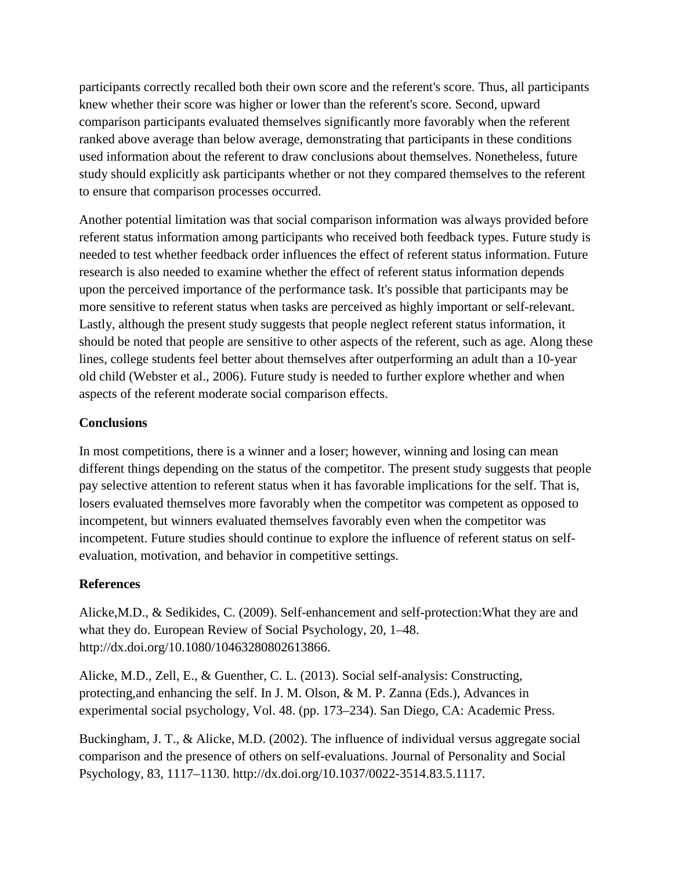participants correctly recalled both their own score and the referent's score. Thus, all participants knew whether their score was higher or lower than the referent's score. Second, upward comparison participants evaluated themselves significantly more favorably when the referent ranked above average than below average, demonstrating that participants in these conditions used information about the referent to draw conclusions about themselves. Nonetheless, future study should explicitly ask participants whether or not they compared themselves to the referent to ensure that comparison processes occurred.

Another potential limitation was that social comparison information was always provided before referent status information among participants who received both feedback types. Future study is needed to test whether feedback order influences the effect of referent status information. Future research is also needed to examine whether the effect of referent status information depends upon the perceived importance of the performance task. It's possible that participants may be more sensitive to referent status when tasks are perceived as highly important or self-relevant. Lastly, although the present study suggests that people neglect referent status information, it should be noted that people are sensitive to other aspects of the referent, such as age. Along these lines, college students feel better about themselves after outperforming an adult than a 10-year old child (Webster et al., 2006). Future study is needed to further explore whether and when aspects of the referent moderate social comparison effects.

## **Conclusions**

In most competitions, there is a winner and a loser; however, winning and losing can mean different things depending on the status of the competitor. The present study suggests that people pay selective attention to referent status when it has favorable implications for the self. That is, losers evaluated themselves more favorably when the competitor was competent as opposed to incompetent, but winners evaluated themselves favorably even when the competitor was incompetent. Future studies should continue to explore the influence of referent status on selfevaluation, motivation, and behavior in competitive settings.

## **References**

Alicke,M.D., & Sedikides, C. (2009). Self-enhancement and self-protection:What they are and what they do. European Review of Social Psychology, 20, 1–48. http://dx.doi.org/10.1080/10463280802613866.

Alicke, M.D., Zell, E., & Guenther, C. L. (2013). Social self-analysis: Constructing, protecting,and enhancing the self. In J. M. Olson, & M. P. Zanna (Eds.), Advances in experimental social psychology, Vol. 48. (pp. 173–234). San Diego, CA: Academic Press.

Buckingham, J. T., & Alicke, M.D. (2002). The influence of individual versus aggregate social comparison and the presence of others on self-evaluations. Journal of Personality and Social Psychology, 83, 1117–1130. http://dx.doi.org/10.1037/0022-3514.83.5.1117.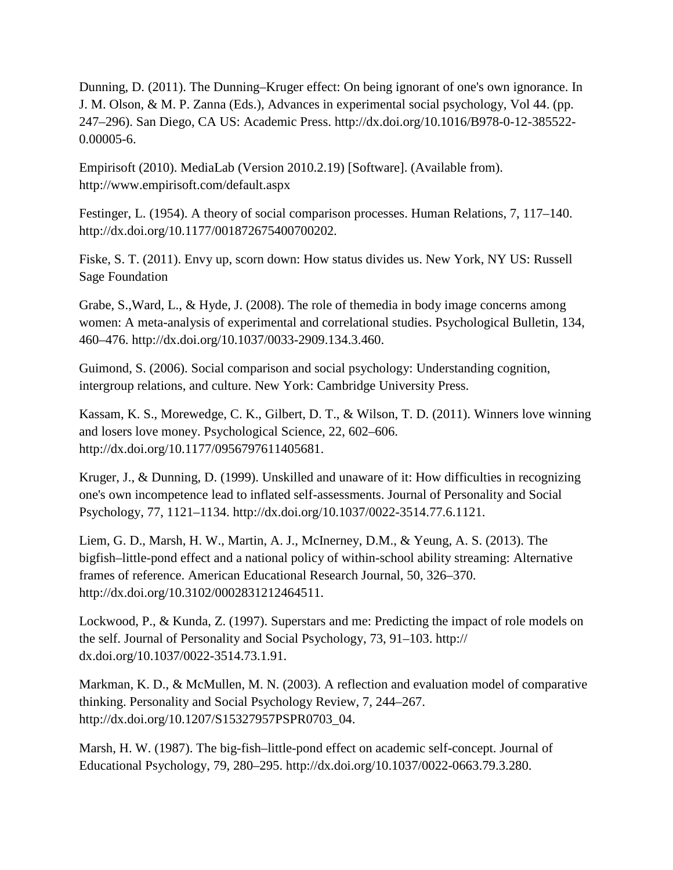Dunning, D. (2011). The Dunning–Kruger effect: On being ignorant of one's own ignorance. In J. M. Olson, & M. P. Zanna (Eds.), Advances in experimental social psychology, Vol 44. (pp. 247–296). San Diego, CA US: Academic Press. http://dx.doi.org/10.1016/B978-0-12-385522- 0.00005-6.

Empirisoft (2010). MediaLab (Version 2010.2.19) [Software]. (Available from). http://www.empirisoft.com/default.aspx

Festinger, L. (1954). A theory of social comparison processes. Human Relations, 7, 117–140. http://dx.doi.org/10.1177/001872675400700202.

Fiske, S. T. (2011). Envy up, scorn down: How status divides us. New York, NY US: Russell Sage Foundation

Grabe, S.,Ward, L., & Hyde, J. (2008). The role of themedia in body image concerns among women: A meta-analysis of experimental and correlational studies. Psychological Bulletin, 134, 460–476. http://dx.doi.org/10.1037/0033-2909.134.3.460.

Guimond, S. (2006). Social comparison and social psychology: Understanding cognition, intergroup relations, and culture. New York: Cambridge University Press.

Kassam, K. S., Morewedge, C. K., Gilbert, D. T., & Wilson, T. D. (2011). Winners love winning and losers love money. Psychological Science, 22, 602–606. http://dx.doi.org/10.1177/0956797611405681.

Kruger, J., & Dunning, D. (1999). Unskilled and unaware of it: How difficulties in recognizing one's own incompetence lead to inflated self-assessments. Journal of Personality and Social Psychology, 77, 1121–1134. http://dx.doi.org/10.1037/0022-3514.77.6.1121.

Liem, G. D., Marsh, H. W., Martin, A. J., McInerney, D.M., & Yeung, A. S. (2013). The bigfish–little-pond effect and a national policy of within-school ability streaming: Alternative frames of reference. American Educational Research Journal, 50, 326–370. http://dx.doi.org/10.3102/0002831212464511.

Lockwood, P., & Kunda, Z. (1997). Superstars and me: Predicting the impact of role models on the self. Journal of Personality and Social Psychology, 73, 91–103. http:// dx.doi.org/10.1037/0022-3514.73.1.91.

Markman, K. D., & McMullen, M. N. (2003). A reflection and evaluation model of comparative thinking. Personality and Social Psychology Review, 7, 244–267. http://dx.doi.org/10.1207/S15327957PSPR0703\_04.

Marsh, H. W. (1987). The big-fish–little-pond effect on academic self-concept. Journal of Educational Psychology, 79, 280–295. http://dx.doi.org/10.1037/0022-0663.79.3.280.